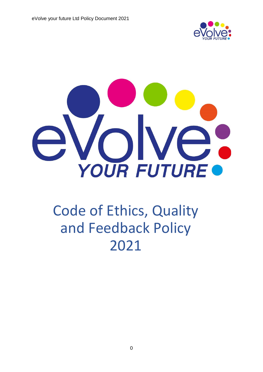



# Code of Ethics, Quality and Feedback Policy 2021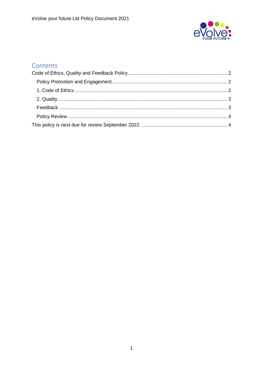

# Contents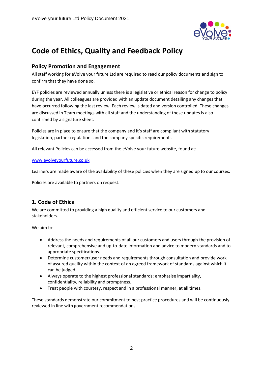

# <span id="page-2-0"></span>**Code of Ethics, Quality and Feedback Policy**

## <span id="page-2-1"></span>**Policy Promotion and Engagement**

All staff working for eVolve your future Ltd are required to read our policy documents and sign to confirm that they have done so.

EYF policies are reviewed annually unless there is a legislative or ethical reason for change to policy during the year. All colleagues are provided with an update document detailing any changes that have occurred following the last review. Each review is dated and version controlled. These changes are discussed in Team meetings with all staff and the understanding of these updates is also confirmed by a signature sheet.

Policies are in place to ensure that the company and it's staff are compliant with statutory legislation, partner regulations and the company specific requirements.

All relevant Policies can be accessed from the eVolve your future website, found at:

#### [www.evolveyourfuture.co.uk](http://www.evolveyourfuture.co.uk/)

Learners are made aware of the availability of these policies when they are signed up to our courses.

Policies are available to partners on request.

# <span id="page-2-2"></span>**1. Code of Ethics**

We are committed to providing a high quality and efficient service to our customers and stakeholders.

We aim to:

- Address the needs and requirements of all our customers and users through the provision of relevant, comprehensive and up-to-date information and advice to modern standards and to appropriate specifications.
- Determine customer/user needs and requirements through consultation and provide work of assured quality within the context of an agreed framework of standards against which it can be judged.
- Always operate to the highest professional standards; emphasise impartiality, confidentiality, reliability and promptness.
- Treat people with courtesy, respect and in a professional manner, at all times.

These standards demonstrate our commitment to best practice procedures and will be continuously reviewed in line with government recommendations.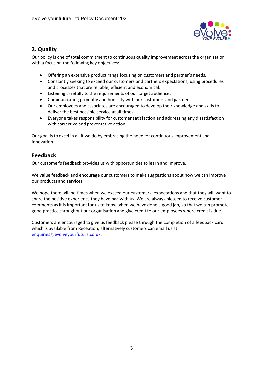

# <span id="page-3-0"></span>**2. Quality**

Our policy is one of total commitment to continuous quality improvement across the organisation with a focus on the following key objectives:

- Offering an extensive product range focusing on customers and partner's needs.
- Constantly seeking to exceed our customers and partners expectations, using procedures and processes that are reliable, efficient and economical.
- Listening carefully to the requirements of our target audience.
- Communicating promptly and honestly with our customers and partners.
- Our employees and associates are encouraged to develop their knowledge and skills to deliver the best possible service at all times.
- Everyone takes responsibility for customer satisfaction and addressing any dissatisfaction with corrective and preventative action.

Our goal is to excel in all it we do by embracing the need for continuous improvement and innovation

## <span id="page-3-1"></span>**Feedback**

Our customer's feedback provides us with opportunities to learn and improve.

We value feedback and encourage our customers to make suggestions about how we can improve our products and services.

We hope there will be times when we exceed our customers' expectations and that they will want to share the positive experience they have had with us. We are always pleased to receive customer comments as it is important for us to know when we have done a good job, so that we can promote good practice throughout our organisation and give credit to our employees where credit is due.

Customers are encouraged to give us feedback please through the completion of a feedback card which is available from Reception, alternatively customers can email us at [enquiries@evolveyourfuture.co.uk.](mailto:enquiries@evolveyourfuture.co.uk)